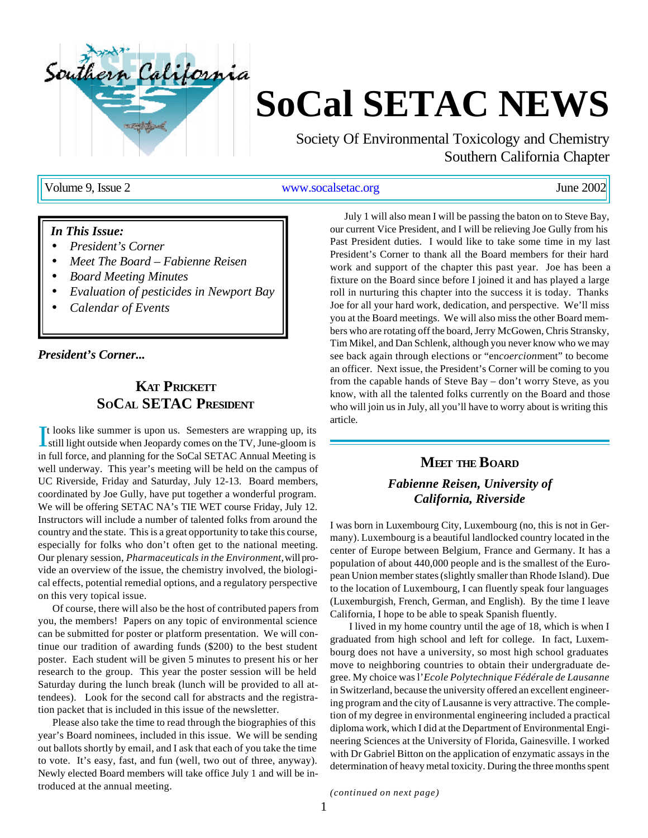

# **SoCal SETAC NEWS**

Society Of Environmental Toxicology and Chemistry Southern California Chapter

Volume 9, Issue 2 www.socalsetac.org June 2002

### *In This Issue:*

- *President's Corner*
- *Meet The Board Fabienne Reisen*
- *Board Meeting Minutes*
- *Evaluation of pesticides in Newport Bay*
- *Calendar of Events*

*President's Corner...*

# **KAT PRICKETT SOCAL SETAC PRESIDENT**

It looks like summer is upon us. Semesters are wrapping up, its still light outside when Jeopardy comes on the TV, June-gloom is still light outside when Jeopardy comes on the TV, June-gloom is in full force, and planning for the SoCal SETAC Annual Meeting is well underway. This year's meeting will be held on the campus of UC Riverside, Friday and Saturday, July 12-13. Board members, coordinated by Joe Gully, have put together a wonderful program. We will be offering SETAC NA's TIE WET course Friday, July 12. Instructors will include a number of talented folks from around the country and the state. This is a great opportunity to take this course, especially for folks who don't often get to the national meeting. Our plenary session, *Pharmaceuticals in the Environment,* will provide an overview of the issue, the chemistry involved, the biological effects, potential remedial options, and a regulatory perspective on this very topical issue.

Of course, there will also be the host of contributed papers from you, the members! Papers on any topic of environmental science can be submitted for poster or platform presentation. We will continue our tradition of awarding funds (\$200) to the best student poster. Each student will be given 5 minutes to present his or her research to the group. This year the poster session will be held Saturday during the lunch break (lunch will be provided to all attendees). Look for the second call for abstracts and the registration packet that is included in this issue of the newsletter.

Please also take the time to read through the biographies of this year's Board nominees, included in this issue. We will be sending out ballots shortly by email, and I ask that each of you take the time to vote. It's easy, fast, and fun (well, two out of three, anyway). Newly elected Board members will take office July 1 and will be introduced at the annual meeting.

July 1 will also mean I will be passing the baton on to Steve Bay, our current Vice President, and I will be relieving Joe Gully from his Past President duties. I would like to take some time in my last President's Corner to thank all the Board members for their hard work and support of the chapter this past year. Joe has been a fixture on the Board since before I joined it and has played a large roll in nurturing this chapter into the success it is today. Thanks Joe for all your hard work, dedication, and perspective. We'll miss you at the Board meetings. We will also miss the other Board members who are rotating off the board, Jerry McGowen, Chris Stransky, Tim Mikel, and Dan Schlenk, although you never know who we may see back again through elections or "en*coercion*ment" to become an officer. Next issue, the President's Corner will be coming to you from the capable hands of Steve Bay – don't worry Steve, as you know, with all the talented folks currently on the Board and those who will join us in July, all you'll have to worry about is writing this article.

# **MEET THE BOARD** *Fabienne Reisen, University of California, Riverside*

I was born in Luxembourg City, Luxembourg (no, this is not in Germany). Luxembourg is a beautiful landlocked country located in the center of Europe between Belgium, France and Germany. It has a population of about 440,000 people and is the smallest of the European Union member states (slightly smaller than Rhode Island). Due to the location of Luxembourg, I can fluently speak four languages (Luxemburgish, French, German, and English). By the time I leave California, I hope to be able to speak Spanish fluently.

I lived in my home country until the age of 18, which is when I graduated from high school and left for college. In fact, Luxembourg does not have a university, so most high school graduates move to neighboring countries to obtain their undergraduate degree. My choice was l'*Ecole Polytechnique Fédérale de Lausanne* in Switzerland, because the university offered an excellent engineering program and the city of Lausanne is very attractive. The completion of my degree in environmental engineering included a practical diploma work, which I did at the Department of Environmental Engineering Sciences at the University of Florida, Gainesville. I worked with Dr Gabriel Bitton on the application of enzymatic assays in the determination of heavy metal toxicity. During the three months spent

*(continued on next page)*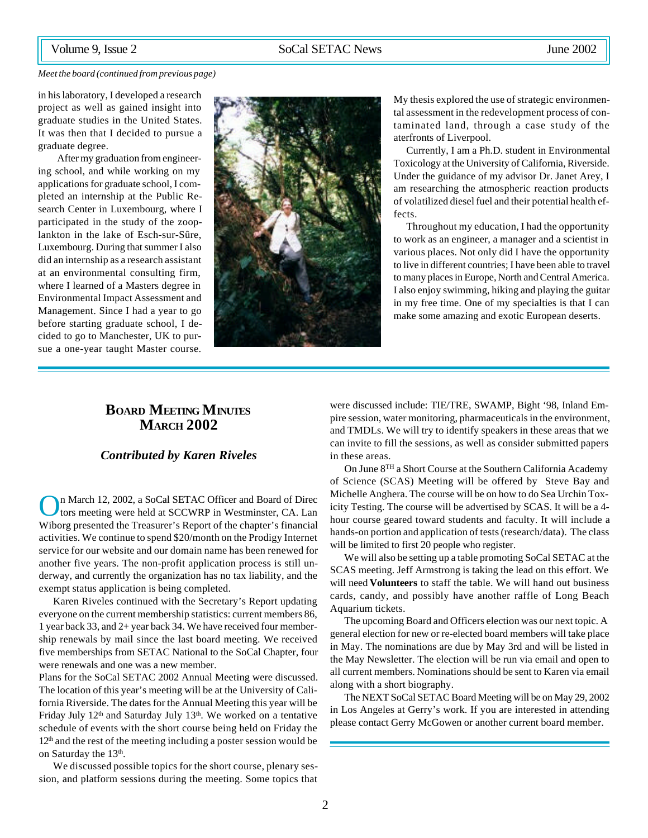#### *Meet the board (continued from previous page)*

in his laboratory, I developed a research project as well as gained insight into graduate studies in the United States. It was then that I decided to pursue a graduate degree.

After my graduation from engineering school, and while working on my applications for graduate school, I completed an internship at the Public Research Center in Luxembourg, where I participated in the study of the zooplankton in the lake of Esch-sur-Sûre, Luxembourg. During that summer I also did an internship as a research assistant at an environmental consulting firm, where I learned of a Masters degree in Environmental Impact Assessment and Management. Since I had a year to go before starting graduate school, I decided to go to Manchester, UK to pursue a one-year taught Master course.



My thesis explored the use of strategic environmental assessment in the redevelopment process of contaminated land, through a case study of the aterfronts of Liverpool.

Currently, I am a Ph.D. student in Environmental Toxicology at the University of California, Riverside. Under the guidance of my advisor Dr. Janet Arey, I am researching the atmospheric reaction products of volatilized diesel fuel and their potential health effects.

Throughout my education, I had the opportunity to work as an engineer, a manager and a scientist in various places. Not only did I have the opportunity to live in different countries; I have been able to travel to many places in Europe, North and Central America. I also enjoy swimming, hiking and playing the guitar in my free time. One of my specialties is that I can make some amazing and exotic European deserts.

# **BOARD MEETING MINUTES MARCH 2002**

### *Contributed by Karen Riveles*

O n March 12, 2002, a SoCal SETAC Officer and Board of Direc tors meeting were held at SCCWRP in Westminster, CA. Lan Wiborg presented the Treasurer's Report of the chapter's financial activities. We continue to spend \$20/month on the Prodigy Internet service for our website and our domain name has been renewed for another five years. The non-profit application process is still underway, and currently the organization has no tax liability, and the exempt status application is being completed.

Karen Riveles continued with the Secretary's Report updating everyone on the current membership statistics: current members 86, 1 year back 33, and 2+ year back 34. We have received four membership renewals by mail since the last board meeting. We received five memberships from SETAC National to the SoCal Chapter, four were renewals and one was a new member.

Plans for the SoCal SETAC 2002 Annual Meeting were discussed. The location of this year's meeting will be at the University of California Riverside. The dates for the Annual Meeting this year will be Friday July 12<sup>th</sup> and Saturday July 13<sup>th</sup>. We worked on a tentative schedule of events with the short course being held on Friday the  $12<sup>th</sup>$  and the rest of the meeting including a poster session would be on Saturday the 13<sup>th</sup>.

We discussed possible topics for the short course, plenary session, and platform sessions during the meeting. Some topics that

were discussed include: TIE/TRE, SWAMP, Bight '98, Inland Empire session, water monitoring, pharmaceuticals in the environment, and TMDLs. We will try to identify speakers in these areas that we can invite to fill the sessions, as well as consider submitted papers in these areas.

On June 8TH a Short Course at the Southern California Academy of Science (SCAS) Meeting will be offered by Steve Bay and Michelle Anghera. The course will be on how to do Sea Urchin Toxicity Testing. The course will be advertised by SCAS. It will be a 4 hour course geared toward students and faculty. It will include a hands-on portion and application of tests (research/data). The class will be limited to first 20 people who register.

We will also be setting up a table promoting SoCal SETAC at the SCAS meeting. Jeff Armstrong is taking the lead on this effort. We will need **Volunteers** to staff the table. We will hand out business cards, candy, and possibly have another raffle of Long Beach Aquarium tickets.

The upcoming Board and Officers election was our next topic. A general election for new or re-elected board members will take place in May. The nominations are due by May 3rd and will be listed in the May Newsletter. The election will be run via email and open to all current members. Nominations should be sent to Karen via email along with a short biography.

The NEXT SoCal SETAC Board Meeting will be on May 29, 2002 in Los Angeles at Gerry's work. If you are interested in attending please contact Gerry McGowen or another current board member.

2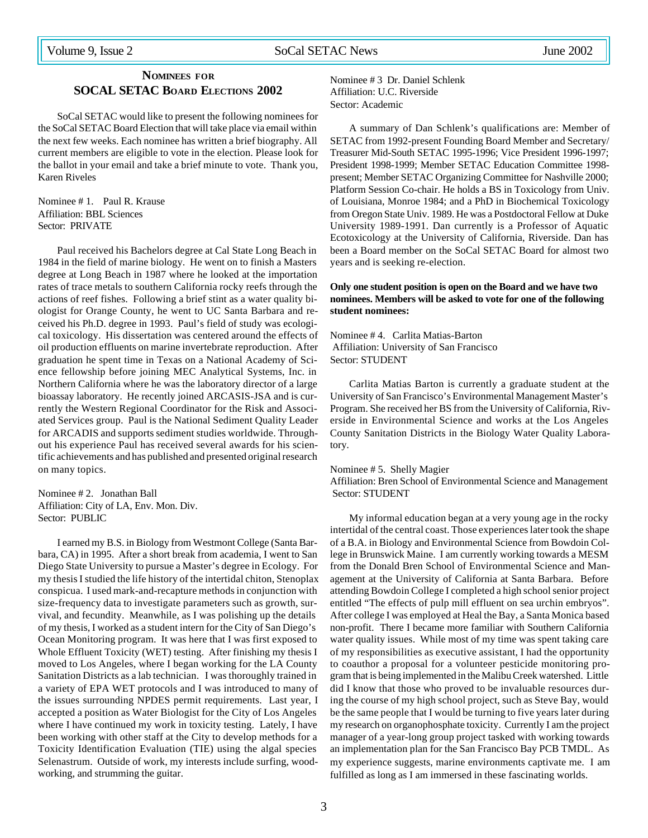# **NOMINEES FOR SOCAL SETAC BOARD ELECTIONS 2002**

SoCal SETAC would like to present the following nominees for the SoCal SETAC Board Election that will take place via email within the next few weeks. Each nominee has written a brief biography. All current members are eligible to vote in the election. Please look for the ballot in your email and take a brief minute to vote. Thank you, Karen Riveles

Nominee # 1. Paul R. Krause Affiliation: BBL Sciences Sector: PRIVATE

Paul received his Bachelors degree at Cal State Long Beach in 1984 in the field of marine biology. He went on to finish a Masters degree at Long Beach in 1987 where he looked at the importation rates of trace metals to southern California rocky reefs through the actions of reef fishes. Following a brief stint as a water quality biologist for Orange County, he went to UC Santa Barbara and received his Ph.D. degree in 1993. Paul's field of study was ecological toxicology. His dissertation was centered around the effects of oil production effluents on marine invertebrate reproduction. After graduation he spent time in Texas on a National Academy of Science fellowship before joining MEC Analytical Systems, Inc. in Northern California where he was the laboratory director of a large bioassay laboratory. He recently joined ARCASIS-JSA and is currently the Western Regional Coordinator for the Risk and Associated Services group. Paul is the National Sediment Quality Leader for ARCADIS and supports sediment studies worldwide. Throughout his experience Paul has received several awards for his scientific achievements and has published and presented original research on many topics.

Nominee # 2. Jonathan Ball Affiliation: City of LA, Env. Mon. Div. Sector: PUBLIC

I earned my B.S. in Biology from Westmont College (Santa Barbara, CA) in 1995. After a short break from academia, I went to San Diego State University to pursue a Master's degree in Ecology. For my thesis I studied the life history of the intertidal chiton, Stenoplax conspicua. I used mark-and-recapture methods in conjunction with size-frequency data to investigate parameters such as growth, survival, and fecundity. Meanwhile, as I was polishing up the details of my thesis, I worked as a student intern for the City of San Diego's Ocean Monitoring program. It was here that I was first exposed to Whole Effluent Toxicity (WET) testing. After finishing my thesis I moved to Los Angeles, where I began working for the LA County Sanitation Districts as a lab technician. I was thoroughly trained in a variety of EPA WET protocols and I was introduced to many of the issues surrounding NPDES permit requirements. Last year, I accepted a position as Water Biologist for the City of Los Angeles where I have continued my work in toxicity testing. Lately, I have been working with other staff at the City to develop methods for a Toxicity Identification Evaluation (TIE) using the algal species Selenastrum. Outside of work, my interests include surfing, woodworking, and strumming the guitar.

Nominee # 3 Dr. Daniel Schlenk Affiliation: U.C. Riverside Sector: Academic

A summary of Dan Schlenk's qualifications are: Member of SETAC from 1992-present Founding Board Member and Secretary/ Treasurer Mid-South SETAC 1995-1996; Vice President 1996-1997; President 1998-1999; Member SETAC Education Committee 1998 present; Member SETAC Organizing Committee for Nashville 2000; Platform Session Co-chair. He holds a BS in Toxicology from Univ. of Louisiana, Monroe 1984; and a PhD in Biochemical Toxicology from Oregon State Univ. 1989. He was a Postdoctoral Fellow at Duke University 1989-1991. Dan currently is a Professor of Aquatic Ecotoxicology at the University of California, Riverside. Dan has been a Board member on the SoCal SETAC Board for almost two years and is seeking re-election.

### **Only one student position is open on the Board and we have two nominees. Members will be asked to vote for one of the following student nominees:**

Nominee # 4. Carlita Matias-Barton Affiliation: University of San Francisco Sector: STUDENT

Carlita Matias Barton is currently a graduate student at the University of San Francisco's Environmental Management Master's Program. She received her BS from the University of California, Riverside in Environmental Science and works at the Los Angeles County Sanitation Districts in the Biology Water Quality Laboratory.

#### Nominee # 5. Shelly Magier

Affiliation: Bren School of Environmental Science and Management Sector: STUDENT

My informal education began at a very young age in the rocky intertidal of the central coast. Those experiences later took the shape of a B.A. in Biology and Environmental Science from Bowdoin College in Brunswick Maine. I am currently working towards a MESM from the Donald Bren School of Environmental Science and Management at the University of California at Santa Barbara. Before attending Bowdoin College I completed a high school senior project entitled "The effects of pulp mill effluent on sea urchin embryos". After college I was employed at Heal the Bay, a Santa Monica based non-profit. There I became more familiar with Southern California water quality issues. While most of my time was spent taking care of my responsibilities as executive assistant, I had the opportunity to coauthor a proposal for a volunteer pesticide monitoring program that is being implemented in the Malibu Creek watershed. Little did I know that those who proved to be invaluable resources during the course of my high school project, such as Steve Bay, would be the same people that I would be turning to five years later during my research on organophosphate toxicity. Currently I am the project manager of a year-long group project tasked with working towards an implementation plan for the San Francisco Bay PCB TMDL. As my experience suggests, marine environments captivate me. I am fulfilled as long as I am immersed in these fascinating worlds.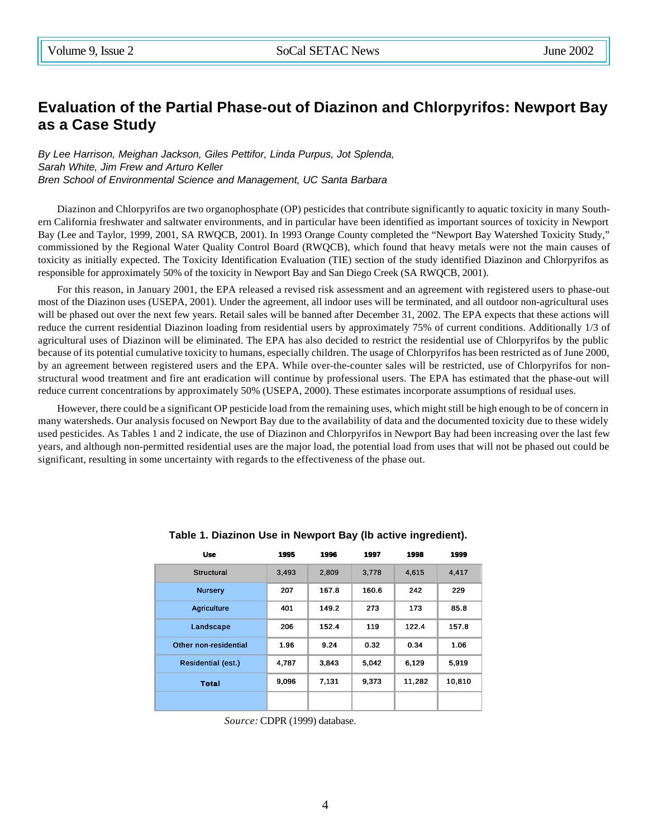# **Evaluation of the Partial Phase-out of Diazinon and Chlorpyrifos: Newport Bay as a Case Study**

*By Lee Harrison, Meighan Jackson, Giles Pettifor, Linda Purpus, Jot Splenda, Sarah White, Jim Frew and Arturo Keller Bren School of Environmental Science and Management, UC Santa Barbara*

Diazinon and Chlorpyrifos are two organophosphate (OP) pesticides that contribute significantly to aquatic toxicity in many Southern California freshwater and saltwater environments, and in particular have been identified as important sources of toxicity in Newport Bay (Lee and Taylor, 1999, 2001, SA RWQCB, 2001). In 1993 Orange County completed the "Newport Bay Watershed Toxicity Study," commissioned by the Regional Water Quality Control Board (RWQCB), which found that heavy metals were not the main causes of toxicity as initially expected. The Toxicity Identification Evaluation (TIE) section of the study identified Diazinon and Chlorpyrifos as responsible for approximately 50% of the toxicity in Newport Bay and San Diego Creek (SA RWQCB, 2001).

For this reason, in January 2001, the EPA released a revised risk assessment and an agreement with registered users to phase-out most of the Diazinon uses (USEPA, 2001). Under the agreement, all indoor uses will be terminated, and all outdoor non-agricultural uses will be phased out over the next few years. Retail sales will be banned after December 31, 2002. The EPA expects that these actions will reduce the current residential Diazinon loading from residential users by approximately 75% of current conditions. Additionally 1/3 of agricultural uses of Diazinon will be eliminated. The EPA has also decided to restrict the residential use of Chlorpyrifos by the public because of its potential cumulative toxicity to humans, especially children. The usage of Chlorpyrifos has been restricted as of June 2000, by an agreement between registered users and the EPA. While over-the-counter sales will be restricted, use of Chlorpyrifos for nonstructural wood treatment and fire ant eradication will continue by professional users. The EPA has estimated that the phase-out will reduce current concentrations by approximately 50% (USEPA, 2000). These estimates incorporate assumptions of residual uses.

However, there could be a significant OP pesticide load from the remaining uses, which might still be high enough to be of concern in many watersheds. Our analysis focused on Newport Bay due to the availability of data and the documented toxicity due to these widely used pesticides. As Tables 1 and 2 indicate, the use of Diazinon and Chlorpyrifos in Newport Bay had been increasing over the last few years, and although non-permitted residential uses are the major load, the potential load from uses that will not be phased out could be significant, resulting in some uncertainty with regards to the effectiveness of the phase out.

| <b>Use</b>            | 1995  | 1996  | 1997            | 1998  | 1999   |
|-----------------------|-------|-------|-----------------|-------|--------|
| <b>Structural</b>     | 3,493 | 2,809 | 3,778           | 4,615 | 4,417  |
| <b>Nursery</b>        | 207   | 167.8 | 160.6           | 242   | 229    |
| Agriculture           | 401   | 149.2 | 273             | 173   | 85.8   |
| Landscape             | 206   | 152.4 | 119             | 122.4 | 157.8  |
| Other non-residential | 1.96  | 9.24  | 0.32            | 0.34  | 1.06   |
| Residential (est.)    | 4,787 | 3,843 | 5,042           | 6,129 | 5,919  |
| <b>Total</b>          | 9,096 | 7,131 | 11,282<br>9,373 |       | 10,810 |
|                       |       |       |                 |       |        |

### **Table 1. Diazinon Use in Newport Bay (lb active ingredient).**

*Source:* CDPR (1999) database.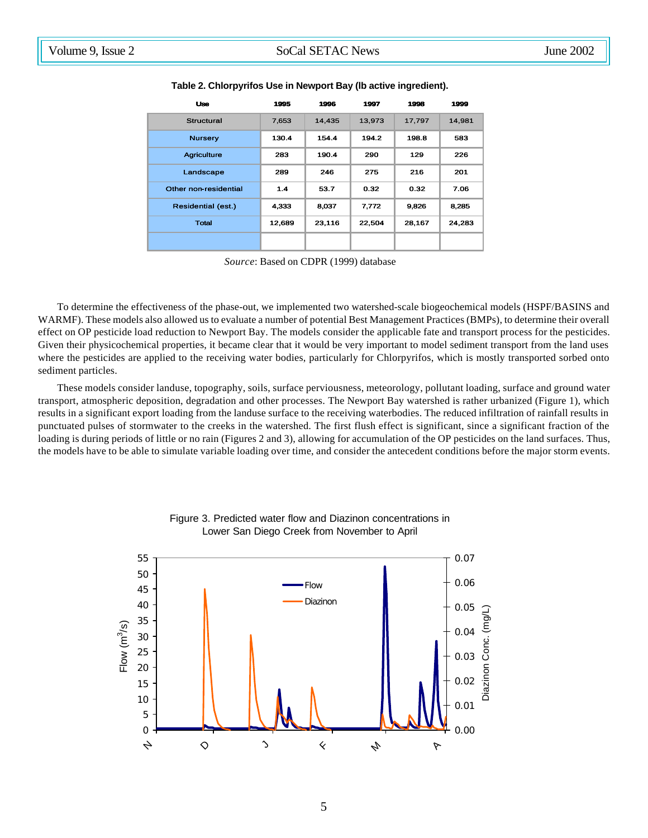| <b>Uso</b>            | 1995   | 1996   | 1997   | 1998   | 1999   |
|-----------------------|--------|--------|--------|--------|--------|
| Structural            | 7,653  | 14,435 | 13,973 | 17,797 | 14,981 |
| <b>Nursery</b>        | 130.4  | 154.4  | 194.2  | 198.8  | 583    |
| <b>Agriculture</b>    | 283    | 190.4  | 290    | 129    | 226    |
| Landscape             | 289    | 246    | 275    | 216    | 201    |
| Other non-residential | 1.4    | 53.7   | 0.32   | 0.32   | 7.06   |
| Residential (est.)    | 4.333  | 8.037  | 7.772  | 9.826  | 8.285  |
| Total                 | 12,689 | 23,116 | 22,504 | 28,167 | 24,283 |
|                       |        |        |        |        |        |

**Table 2. Chlorpyrifos Use in Newport Bay (lb active ingredient).**

*Source*: Based on CDPR (1999) database

To determine the effectiveness of the phase-out, we implemented two watershed-scale biogeochemical models (HSPF/BASINS and WARMF). These models also allowed us to evaluate a number of potential Best Management Practices (BMPs), to determine their overall effect on OP pesticide load reduction to Newport Bay. The models consider the applicable fate and transport process for the pesticides. Given their physicochemical properties, it became clear that it would be very important to model sediment transport from the land uses where the pesticides are applied to the receiving water bodies, particularly for Chlorpyrifos, which is mostly transported sorbed onto sediment particles.

These models consider landuse, topography, soils, surface perviousness, meteorology, pollutant loading, surface and ground water transport, atmospheric deposition, degradation and other processes. The Newport Bay watershed is rather urbanized (Figure 1), which results in a significant export loading from the landuse surface to the receiving waterbodies. The reduced infiltration of rainfall results in punctuated pulses of stormwater to the creeks in the watershed. The first flush effect is significant, since a significant fraction of the loading is during periods of little or no rain (Figures 2 and 3), allowing for accumulation of the OP pesticides on the land surfaces. Thus, the models have to be able to simulate variable loading over time, and consider the antecedent conditions before the major storm events.



Figure 3. Predicted water flow and Diazinon concentrations in Lower San Diego Creek from November to April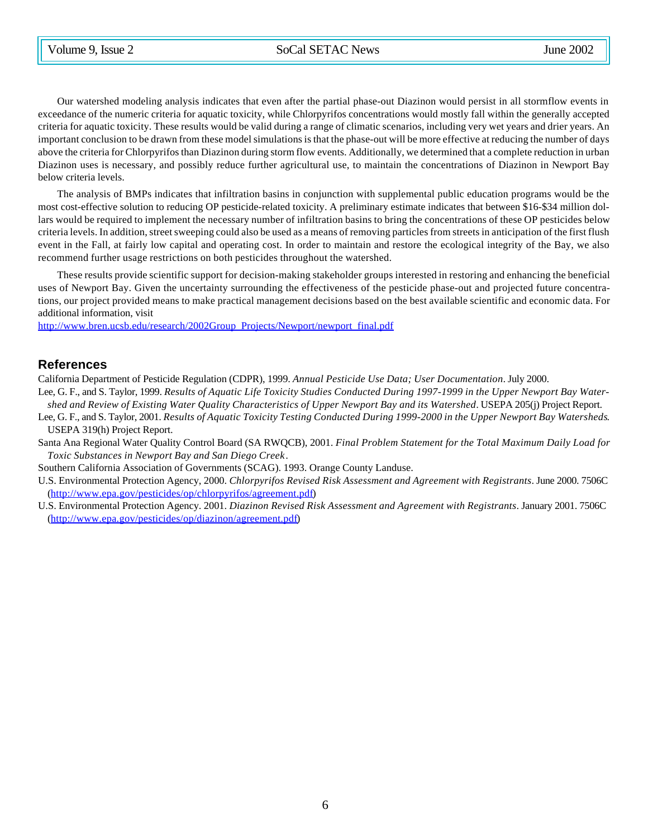Our watershed modeling analysis indicates that even after the partial phase-out Diazinon would persist in all stormflow events in exceedance of the numeric criteria for aquatic toxicity, while Chlorpyrifos concentrations would mostly fall within the generally accepted criteria for aquatic toxicity. These results would be valid during a range of climatic scenarios, including very wet years and drier years. An important conclusion to be drawn from these model simulations is that the phase-out will be more effective at reducing the number of days above the criteria for Chlorpyrifos than Diazinon during storm flow events. Additionally, we determined that a complete reduction in urban Diazinon uses is necessary, and possibly reduce further agricultural use, to maintain the concentrations of Diazinon in Newport Bay below criteria levels.

The analysis of BMPs indicates that infiltration basins in conjunction with supplemental public education programs would be the most cost-effective solution to reducing OP pesticide-related toxicity. A preliminary estimate indicates that between \$16-\$34 million dollars would be required to implement the necessary number of infiltration basins to bring the concentrations of these OP pesticides below criteria levels. In addition, street sweeping could also be used as a means of removing particles from streets in anticipation of the first flush event in the Fall, at fairly low capital and operating cost. In order to maintain and restore the ecological integrity of the Bay, we also recommend further usage restrictions on both pesticides throughout the watershed.

These results provide scientific support for decision-making stakeholder groups interested in restoring and enhancing the beneficial uses of Newport Bay. Given the uncertainty surrounding the effectiveness of the pesticide phase-out and projected future concentrations, our project provided means to make practical management decisions based on the best available scientific and economic data. For additional information, visit

http://www.bren.ucsb.edu/research/2002Group\_Projects/Newport/newport\_final.pdf

### **References**

California Department of Pesticide Regulation (CDPR), 1999. *Annual Pesticide Use Data; User Documentation*. July 2000.

- Lee, G. F., and S. Taylor, 1999. *Results of Aquatic Life Toxicity Studies Conducted During 1997-1999 in the Upper Newport Bay Watershed and Review of Existing Water Quality Characteristics of Upper Newport Bay and its Watershed*. USEPA 205(j) Project Report.
- Lee, G. F., and S. Taylor, 2001. *Results of Aquatic Toxicity Testing Conducted During 1999-2000 in the Upper Newport Bay Watersheds*. USEPA 319(h) Project Report.
- Santa Ana Regional Water Quality Control Board (SA RWQCB), 2001. *Final Problem Statement for the Total Maximum Daily Load for Toxic Substances in Newport Bay and San Diego Creek*.
- Southern California Association of Governments (SCAG). 1993. Orange County Landuse.
- U.S. Environmental Protection Agency, 2000. *Chlorpyrifos Revised Risk Assessment and Agreement with Registrants*. June 2000. 7506C (http://www.epa.gov/pesticides/op/chlorpyrifos/agreement.pdf)
- U.S. Environmental Protection Agency. 2001. *Diazinon Revised Risk Assessment and Agreement with Registrants*. January 2001. 7506C (http://www.epa.gov/pesticides/op/diazinon/agreement.pdf)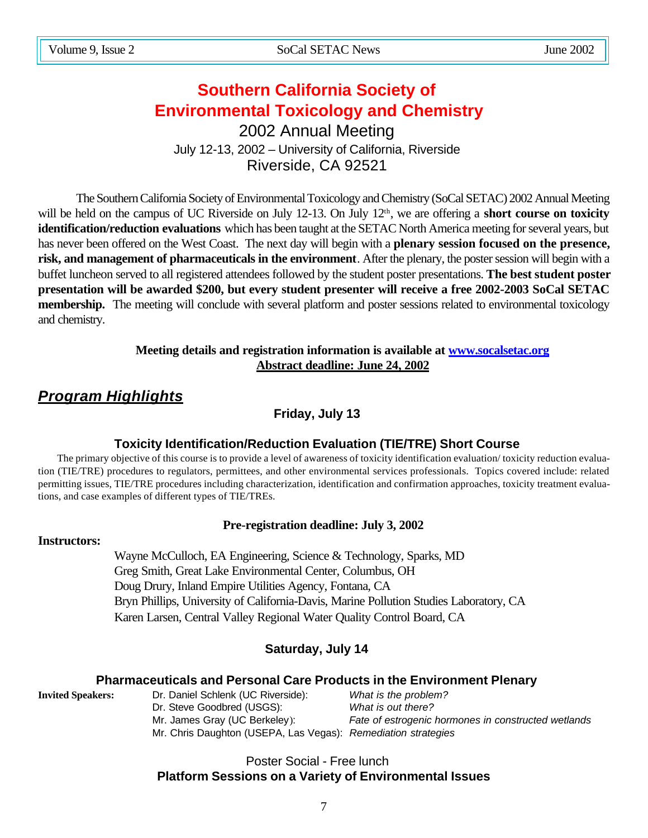# **Southern California Society of Environmental Toxicology and Chemistry** 2002 Annual Meeting

July 12-13, 2002 – University of California, Riverside Riverside, CA 92521

The Southern California Society of Environmental Toxicology and Chemistry (SoCal SETAC) 2002 Annual Meeting will be held on the campus of UC Riverside on July 12-13. On July 12<sup>th</sup>, we are offering a **short course on toxicity identification/reduction evaluations** which has been taught at the SETAC North America meeting for several years, but has never been offered on the West Coast. The next day will begin with a **plenary session focused on the presence, risk, and management of pharmaceuticals in the environment**. After the plenary, the poster session will begin with a buffet luncheon served to all registered attendees followed by the student poster presentations. **The best student poster presentation will be awarded \$200, but every student presenter will receive a free 2002-2003 SoCal SETAC membership.** The meeting will conclude with several platform and poster sessions related to environmental toxicology and chemistry.

# **Meeting details and registration information is available at www.socalsetac.org Abstract deadline: June 24, 2002**

# *Program Highlights*

**Friday, July 13**

# **Toxicity Identification/Reduction Evaluation (TIE/TRE) Short Course**

The primary objective of this course is to provide a level of awareness of toxicity identification evaluation/ toxicity reduction evaluation (TIE/TRE) procedures to regulators, permittees, and other environmental services professionals. Topics covered include: related permitting issues, TIE/TRE procedures including characterization, identification and confirmation approaches, toxicity treatment evaluations, and case examples of different types of TIE/TREs.

# **Pre-registration deadline: July 3, 2002**

# **Instructors:**

Wayne McCulloch, EA Engineering, Science & Technology, Sparks, MD Greg Smith, Great Lake Environmental Center, Columbus, OH Doug Drury, Inland Empire Utilities Agency, Fontana, CA Bryn Phillips, University of California-Davis, Marine Pollution Studies Laboratory, CA Karen Larsen, Central Valley Regional Water Quality Control Board, CA

# **Saturday, July 14**

# **Pharmaceuticals and Personal Care Products in the Environment Plenary**

**Invited Speakers:** Dr. Daniel Schlenk (UC Riverside): *What is the problem?* Dr. Steve Goodbred (USGS): *What is out there?* Mr. James Gray (UC Berkeley): *Fate of estrogenic hormones in constructed wetlands* Mr. Chris Daughton (USEPA, Las Vegas): *Remediation strategies*

# Poster Social - Free lunch **Platform Sessions on a Variety of Environmental Issues**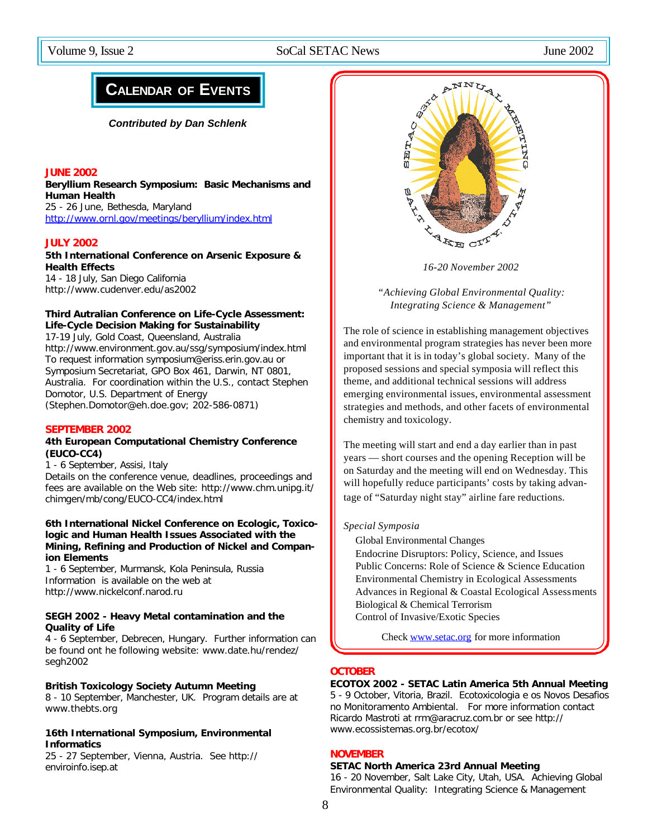# **CALENDAR OF EVENTS**

*Contributed by Dan Schlenk*

### **JUNE 2002**

**Beryllium Research Symposium: Basic Mechanisms and Human Health** 25 - 26 June, Bethesda, Maryland

http://www.ornl.gov/meetings/beryllium/index.html

### **JULY 2002**

### **5th International Conference on Arsenic Exposure & Health Effects**

14 - 18 July, San Diego California http://www.cudenver.edu/as2002

### **Third Autralian Conference on Life-Cycle Assessment: Life-Cycle Decision Making for Sustainability**

17-19 July, Gold Coast, Queensland, Australia http://www.environment.gov.au/ssg/symposium/index.html To request information symposium@eriss.erin.gov.au or Symposium Secretariat, GPO Box 461, Darwin, NT 0801, Australia. For coordination within the U.S., contact Stephen Domotor, U.S. Department of Energy (Stephen.Domotor@eh.doe.gov; 202-586-0871)

#### **SEPTEMBER 2002**

### **4th European Computational Chemistry Conference (EUCO-CC4)**

1 - 6 September, Assisi, Italy

Details on the conference venue, deadlines, proceedings and fees are available on the Web site: http://www.chm.unipg.it/ chimgen/mb/cong/EUCO-CC4/index.html

### **6th International Nickel Conference on Ecologic, Toxicologic and Human Health Issues Associated with the Mining, Refining and Production of Nickel and Companion Elements**

1 - 6 September, Murmansk, Kola Peninsula, Russia Information is available on the web at http://www.nickelconf.narod.ru

### **SEGH 2002 - Heavy Metal contamination and the Quality of Life**

4 - 6 September, Debrecen, Hungary. Further information can be found ont he following website: www.date.hu/rendez/ segh2002

#### **British Toxicology Society Autumn Meeting**

8 - 10 September, Manchester, UK. Program details are at www.thebts.org

### **16th International Symposium, Environmental Informatics**

25 - 27 September, Vienna, Austria. See http:// enviroinfo.isep.at



*16-20 November 2002*

*"Achieving Global Environmental Quality: Integrating Science & Management"*

The role of science in establishing management objectives and environmental program strategies has never been more important that it is in today's global society. Many of the proposed sessions and special symposia will reflect this theme, and additional technical sessions will address emerging environmental issues, environmental assessment strategies and methods, and other facets of environmental chemistry and toxicology.

The meeting will start and end a day earlier than in past years — short courses and the opening Reception will be on Saturday and the meeting will end on Wednesday. This will hopefully reduce participants' costs by taking advantage of "Saturday night stay" airline fare reductions.

### *Special Symposia*

Global Environmental Changes

Endocrine Disruptors: Policy, Science, and Issues Public Concerns: Role of Science & Science Education Environmental Chemistry in Ecological Assessments Advances in Regional & Coastal Ecological Assessments Biological & Chemical Terrorism Control of Invasive/Exotic Species

Check www.setac.org for more information

### **OCTOBER**

### **ECOTOX 2002 - SETAC Latin America 5th Annual Meeting**

5 - 9 October, Vitoria, Brazil. Ecotoxicologia e os Novos Desafios no Monitoramento Ambiental. For more information contact Ricardo Mastroti at rrm@aracruz.com.br or see http:// www.ecossistemas.org.br/ecotox/

### **NOVEMBER**

#### **SETAC North America 23rd Annual Meeting**

16 - 20 November, Salt Lake City, Utah, USA. Achieving Global Environmental Quality: Integrating Science & Management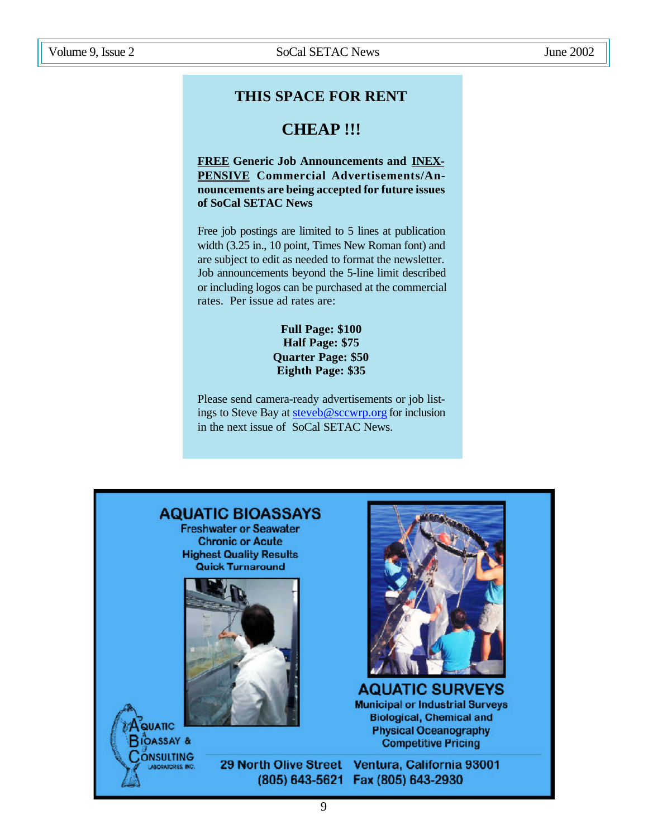# **THIS SPACE FOR RENT**

# **CHEAP !!!**

**FREE Generic Job Announcements and INEX-PENSIVE Commercial Advertisements/Announcements are being accepted for future issues of SoCal SETAC News**

Free job postings are limited to 5 lines at publication width (3.25 in., 10 point, Times New Roman font) and are subject to edit as needed to format the newsletter. Job announcements beyond the 5-line limit described or including logos can be purchased at the commercial rates. Per issue ad rates are:

### **Full Page: \$100 Half Page: \$75 Quarter Page: \$50 Eighth Page: \$35**

Please send camera-ready advertisements or job listings to Steve Bay at steveb@sccwrp.org for inclusion in the next issue of SoCal SETAC News.

# **AQUATIC BIOASSAYS**

**Freshwater or Seawater Chronic or Acute Highest Quality Results Quick Turnaround** 



QUATIC **RIOASSAY &** ONSULTING ABORATORES, INC.



**AQUATIC SURVEYS Municipal or Industrial Surveys Biological, Chemical and Physical Oceanography Competitive Pricing** 

29 North Olive Street Ventura, California 93001 (805) 643-5621 Fax (805) 643-2930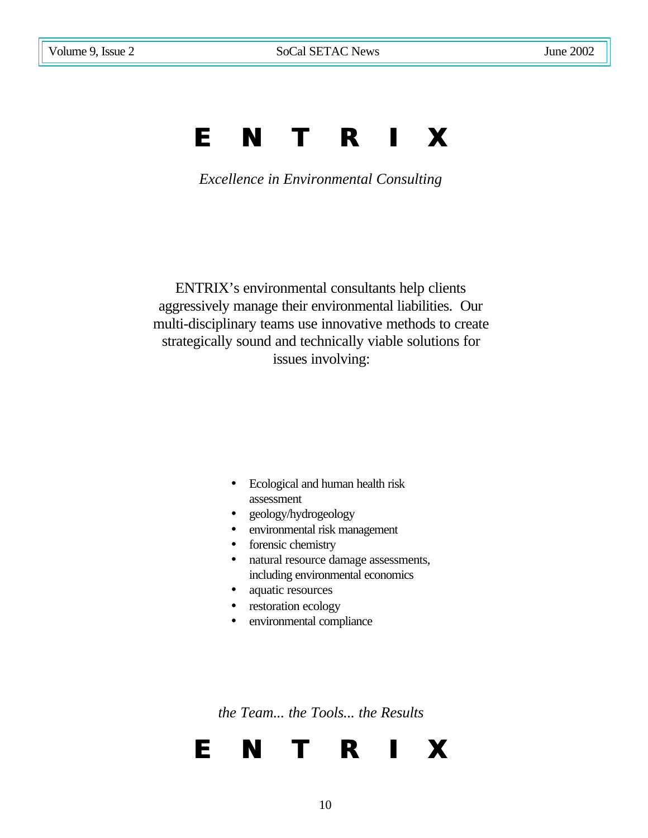# **E N T R I X**

*Excellence in Environmental Consulting*

ENTRIX's environmental consultants help clients aggressively manage their environmental liabilities. Our multi-disciplinary teams use innovative methods to create strategically sound and technically viable solutions for issues involving:

- Ecological and human health risk assessment
- geology/hydrogeology
- environmental risk management
- forensic chemistry
- natural resource damage assessments, including environmental economics
- aquatic resources
- restoration ecology
- environmental compliance

*the Team... the Tools... the Results*

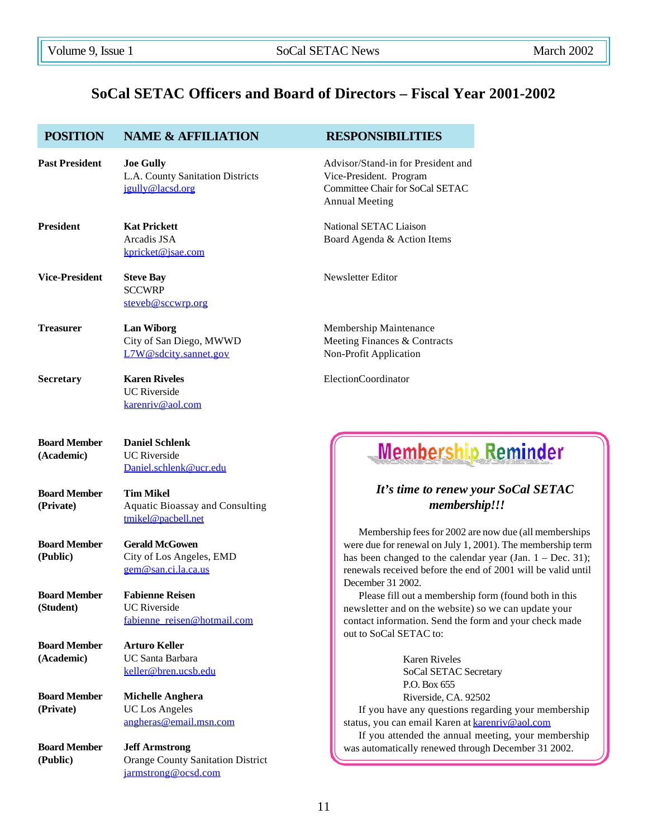# **SoCal SETAC Officers and Board of Directors – Fiscal Year 2001-2002**

| <b>POSITION</b>                   | <b>NAME &amp; AFFILIATION</b>                                                            | <b>RESPONSIBILITIES</b>                                                                                                                                                                                                                                                  |  |  |
|-----------------------------------|------------------------------------------------------------------------------------------|--------------------------------------------------------------------------------------------------------------------------------------------------------------------------------------------------------------------------------------------------------------------------|--|--|
| <b>Past President</b>             | <b>Joe Gully</b><br>L.A. County Sanitation Districts<br>jgully@lacsd.org                 | Advisor/Stand-in for President and<br>Vice-President. Program<br>Committee Chair for SoCal SETAC<br><b>Annual Meeting</b>                                                                                                                                                |  |  |
| <b>President</b>                  | <b>Kat Prickett</b><br>Arcadis JSA<br>kpricket@jsae.com                                  | National SETAC Liaison<br>Board Agenda & Action Items                                                                                                                                                                                                                    |  |  |
| <b>Vice-President</b>             | <b>Steve Bay</b><br><b>SCCWRP</b><br>steveb@sccwrp.org                                   | Newsletter Editor                                                                                                                                                                                                                                                        |  |  |
| <b>Treasurer</b>                  | <b>Lan Wiborg</b><br>City of San Diego, MWWD<br>L7W@sdcity.sannet.gov                    | Membership Maintenance<br>Meeting Finances & Contracts<br>Non-Profit Application                                                                                                                                                                                         |  |  |
| <b>Secretary</b>                  | <b>Karen Riveles</b><br><b>UC</b> Riverside<br>karenriv@aol.com                          | ElectionCoordinator                                                                                                                                                                                                                                                      |  |  |
| <b>Board Member</b><br>(Academic) | <b>Daniel Schlenk</b><br><b>UC</b> Riverside<br>Daniel.schlenk@ucr.edu                   | <b>Membership Reminder</b>                                                                                                                                                                                                                                               |  |  |
| <b>Board Member</b><br>(Private)  | <b>Tim Mikel</b><br><b>Aquatic Bioassay and Consulting</b><br>tmikel@pacbell.net         | It's time to renew your SoCal SETAC<br>membership!!!                                                                                                                                                                                                                     |  |  |
| <b>Board Member</b><br>(Public)   | <b>Gerald McGowen</b><br>City of Los Angeles, EMD<br>gem@san.ci.la.ca.us                 | Membership fees for 2002 are now due (all memberships<br>were due for renewal on July 1, 2001). The membership term<br>has been changed to the calendar year (Jan. $1 - Dec. 31$ );<br>renewals received before the end of 2001 will be valid until<br>December 31 2002. |  |  |
| <b>Board Member</b><br>(Student)  | <b>Fabienne Reisen</b><br><b>UC</b> Riverside<br>fabienne reisen@hotmail.com             | Please fill out a membership form (found both in this<br>newsletter and on the website) so we can update your<br>contact information. Send the form and your check made<br>out to SoCal SETAC to:                                                                        |  |  |
| <b>Board Member</b><br>(Academic) | <b>Arturo Keller</b><br><b>UC Santa Barbara</b><br>keller@bren.ucsb.edu                  | <b>Karen Riveles</b><br>SoCal SETAC Secretary<br>P.O. Box 655                                                                                                                                                                                                            |  |  |
| <b>Board Member</b><br>(Private)  | <b>Michelle Anghera</b><br><b>UC</b> Los Angeles<br>angheras@email.msn.com               | Riverside, CA. 92502<br>If you have any questions regarding your membership<br>status, you can email Karen at karenriv@aol.com<br>If you attended the annual meeting, your membership                                                                                    |  |  |
| <b>Board Member</b><br>(Public)   | <b>Jeff Armstrong</b><br><b>Orange County Sanitation District</b><br>jarmstrong@ocsd.com | was automatically renewed through December 31 2002.                                                                                                                                                                                                                      |  |  |